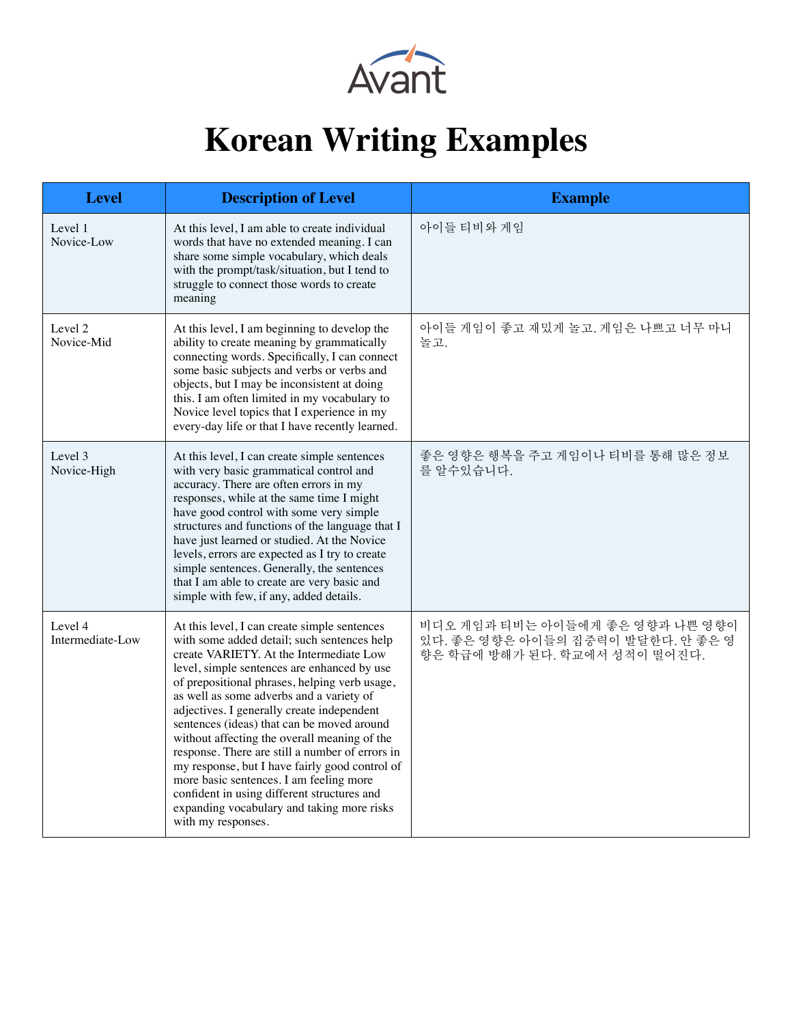

## **Korean Writing Examples**

| <b>Level</b>                | <b>Description of Level</b>                                                                                                                                                                                                                                                                                                                                                                                                                                                                                                                                                                                                                                                                       | <b>Example</b>                                                                                        |
|-----------------------------|---------------------------------------------------------------------------------------------------------------------------------------------------------------------------------------------------------------------------------------------------------------------------------------------------------------------------------------------------------------------------------------------------------------------------------------------------------------------------------------------------------------------------------------------------------------------------------------------------------------------------------------------------------------------------------------------------|-------------------------------------------------------------------------------------------------------|
| Level 1<br>Novice-Low       | At this level, I am able to create individual<br>words that have no extended meaning. I can<br>share some simple vocabulary, which deals<br>with the prompt/task/situation, but I tend to<br>struggle to connect those words to create<br>meaning                                                                                                                                                                                                                                                                                                                                                                                                                                                 | 아이들 티비와 게임                                                                                            |
| Level 2<br>Novice-Mid       | At this level, I am beginning to develop the<br>ability to create meaning by grammatically<br>connecting words. Specifically, I can connect<br>some basic subjects and verbs or verbs and<br>objects, but I may be inconsistent at doing<br>this. I am often limited in my vocabulary to<br>Novice level topics that I experience in my<br>every-day life or that I have recently learned.                                                                                                                                                                                                                                                                                                        | 아이들 게임이 좋고 재밌게 놀고. 게임은 나쁘고 너무 마니<br>놀고.                                                               |
| Level 3<br>Novice-High      | At this level, I can create simple sentences<br>with very basic grammatical control and<br>accuracy. There are often errors in my<br>responses, while at the same time I might<br>have good control with some very simple<br>structures and functions of the language that I<br>have just learned or studied. At the Novice<br>levels, errors are expected as I try to create<br>simple sentences. Generally, the sentences<br>that I am able to create are very basic and<br>simple with few, if any, added details.                                                                                                                                                                             | 좋은 영향은 행복을 주고 게임이나 티비를 통해 많은 정보<br>를 알수있습니다.                                                          |
| Level 4<br>Intermediate-Low | At this level, I can create simple sentences<br>with some added detail; such sentences help<br>create VARIETY. At the Intermediate Low<br>level, simple sentences are enhanced by use<br>of prepositional phrases, helping verb usage,<br>as well as some adverbs and a variety of<br>adjectives. I generally create independent<br>sentences (ideas) that can be moved around<br>without affecting the overall meaning of the<br>response. There are still a number of errors in<br>my response, but I have fairly good control of<br>more basic sentences. I am feeling more<br>confident in using different structures and<br>expanding vocabulary and taking more risks<br>with my responses. | 비디오 게임과 티비는 아이들에게 좋은 영향과 나쁜 영향이<br>있다. 좋은 영향은 아이들의 집중력이 발달한다. 안 좋은 영<br>향은 학급에 방해가 된다. 학교에서 성적이 떨어진다. |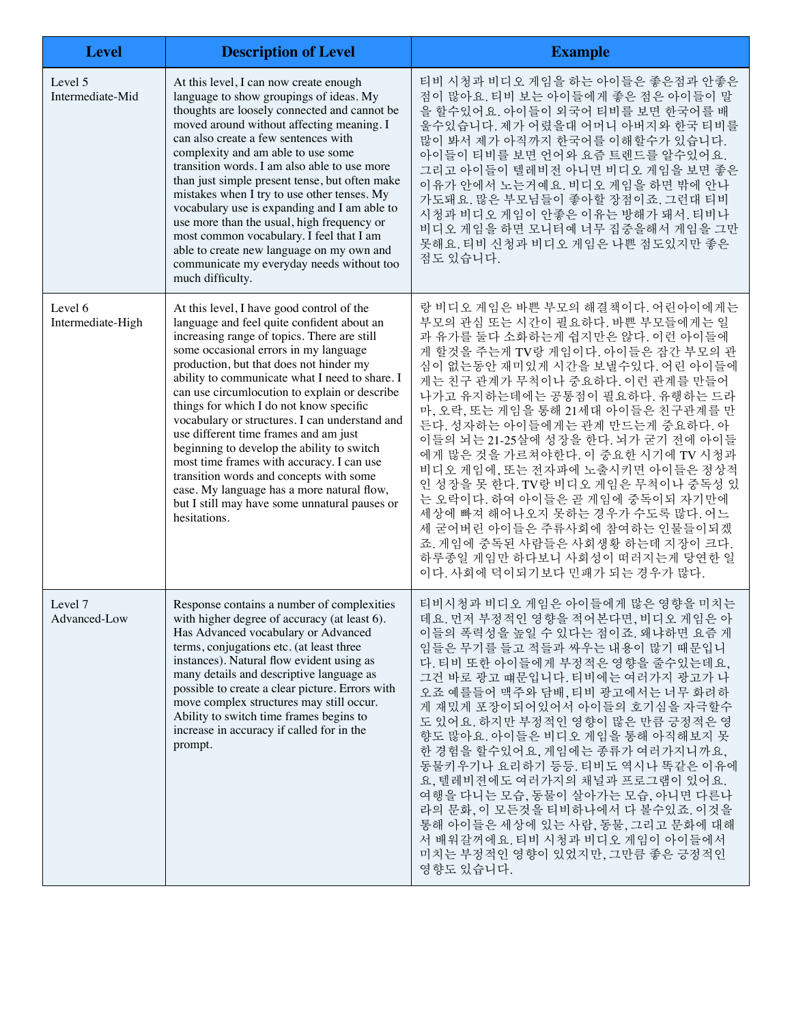| <b>Level</b>                 | <b>Description of Level</b>                                                                                                                                                                                                                                                                                                                                                                                                                                                                                                                                                                                                                                                                                              | <b>Example</b>                                                                                                                                                                                                                                                                                                                                                                                                                                                                                                                                                                                                                                                                                 |
|------------------------------|--------------------------------------------------------------------------------------------------------------------------------------------------------------------------------------------------------------------------------------------------------------------------------------------------------------------------------------------------------------------------------------------------------------------------------------------------------------------------------------------------------------------------------------------------------------------------------------------------------------------------------------------------------------------------------------------------------------------------|------------------------------------------------------------------------------------------------------------------------------------------------------------------------------------------------------------------------------------------------------------------------------------------------------------------------------------------------------------------------------------------------------------------------------------------------------------------------------------------------------------------------------------------------------------------------------------------------------------------------------------------------------------------------------------------------|
| Level 5<br>Intermediate-Mid  | At this level, I can now create enough<br>language to show groupings of ideas. My<br>thoughts are loosely connected and cannot be<br>moved around without affecting meaning. I<br>can also create a few sentences with<br>complexity and am able to use some<br>transition words. I am also able to use more<br>than just simple present tense, but often make<br>mistakes when I try to use other tenses. My<br>vocabulary use is expanding and I am able to<br>use more than the usual, high frequency or<br>most common vocabulary. I feel that I am<br>able to create new language on my own and<br>communicate my everyday needs without too<br>much difficulty.                                                    | 티비 시청과 비디오 게임을 하는 아이들은 좋은점과 안좋은<br>점이 많아요. 티비 보는 아이들에게 좋은 점은 아이들이 말<br>을 할수있어요. 아이들이 외국어 티비를 보면 한국어를 배<br>울수있습니다. 제가 어렸을대 어머니 아버지와 한국 티비를<br>많이 봐서 제가 아직까지 한국어를 이해할수가 있습니다.<br>아이들이 티비를 보면 언어와 요즘 트렌드를 알수있어요.<br>그리고 아이들이 텔레비전 아니면 비디오 게임을 보면 좋은<br>이유가 안에서 노는거예요. 비디오 게임을 하면 밖에 안나<br>가도돼요. 많은 부모님들이 좋아할 장점이죠. 그런대 티비<br>시청과 비디오 게임이 안좋은 이유는 방해가 돼서. 티비나<br>비디오 게임을 하면 모니터예 너무 집중을해서 게임을 그만<br>못해요. 티비 신청과 비디오 게임은 나쁜 점도있지만 좋은<br>점도 있습니다.                                                                                                                                                                                                                                                    |
| Level 6<br>Intermediate-High | At this level, I have good control of the<br>language and feel quite confident about an<br>increasing range of topics. There are still<br>some occasional errors in my language<br>production, but that does not hinder my<br>ability to communicate what I need to share. I<br>can use circumlocution to explain or describe<br>things for which I do not know specific<br>vocabulary or structures. I can understand and<br>use different time frames and am just<br>beginning to develop the ability to switch<br>most time frames with accuracy. I can use<br>transition words and concepts with some<br>ease. My language has a more natural flow,<br>but I still may have some unnatural pauses or<br>hesitations. | 랑 비디오 게임은 바쁜 부모의 해결책이다. 어린아이에게는<br>부모의 관심 또는 시간이 필요하다. 바쁜 부모들에게는 일<br>과 유가를 둘다 소화하는게 쉽지만은 않다. 이런 아이들에<br>게 할것을 주는게 TV랑 게임이다. 아이들은 잠간 부모의 관<br>심이 없는동안 재미있게 시간을 보낼수있다. 어린 아이들에<br>게는 친구 관계가 무척이나 중요하다. 이런 관계를 만들어<br>나가고 유지하는데에는 공통점이 필요하다. 유행하는 드라<br>마, 오락, 또는 게임을 통해 21세대 아이들은 친구관계를 만<br>든다. 성자하는 아이들에게는 관계 만드는게 중요하다. 아<br>이들의 뇌는 21-25살에 성장을 한다. 뇌가 굳기 전에 아이들<br>에게 많은 것을 가르쳐야한다. 이 중요한 시기에 TV 시청과<br>비디오 게임에, 또는 전자파에 노출시키면 아이들은 정상적<br>인 성장을 못 한다. TV랑 비디오 게임은 무척이나 중독성 있<br>는 오락이다. 하여 아이들은 곧 게임에 중독이되 자기만에<br>세상에 빠져 해어나오지 못하는 경우가 수도록 많다. 어느<br>세 굳어버린 아이들은 주류사회에 참여하는 인물들이되겠<br>죠. 게임에 중독된 사람들은 사회생황 하는데 지장이 크다.<br>하루종일 게임만 하다보니 사회성이 떠러지는게 당연한 일<br>이다. 사회에 덕이되기보다 민패가 되는 경우가 많다. |
| Level 7<br>Advanced-Low      | Response contains a number of complexities<br>with higher degree of accuracy (at least 6).<br>Has Advanced vocabulary or Advanced<br>terms, conjugations etc. (at least three<br>instances). Natural flow evident using as<br>many details and descriptive language as<br>possible to create a clear picture. Errors with<br>move complex structures may still occur.<br>Ability to switch time frames begins to<br>increase in accuracy if called for in the<br>prompt.                                                                                                                                                                                                                                                 | 티비시청과 비디오 게임은 아이들에게 많은 영향을 미치는<br>데요. 먼저 부정적인 영향을 적어본다면, 비디오 게임은 아<br>이들의 폭력성을 높일 수 있다는 점이죠. 왜냐하면 요즘 게<br>임들은 무기를 들고 적들과 싸우는 내용이 많기 때문입니<br>다. 티비 또한 아이들에게 부정적은 영향을 줄수있는데요,<br>그건 바로 광고 떄문입니다. 티비에는 여러가지 광고가 나<br>오죠 예를들어 맥주와 담배, 티비 광고에서는 너무 화려하<br>게 재밌게 포장이되어있어서 아이들의 호기심을 자극할수<br>도 있어요. 하지만 부정적인 영향이 많은 만큼 긍정적은 영<br>향도 많아요. 아이들은 비디오 게임을 통해 아직해보지 못<br>한 경험을 할수있어요, 게임에는 종류가 여러가지니까요,<br>동물키우기나 요리하기 등등. 티비도 역시나 똑같은 이유에<br>요, 텔레비젼에도 여러가지의 채널과 프로그램이 있어요.<br>여행을 다니는 모습, 동물이 살아가는 모습, 아니면 다른나<br>라의 문화, 이 모든것을 티비하나에서 다 볼수있죠. 이것을<br>통해 아이들은 세상에 있는 사람, 동물, 그리고 문화에 대해<br>서 배워갈꺼에요. 티비 시청과 비디오 게임이 아이들에서<br>미치는 부정적인 영향이 있었지만, 그만큼 좋은 긍정적인<br>영향도 있습니다.                                 |